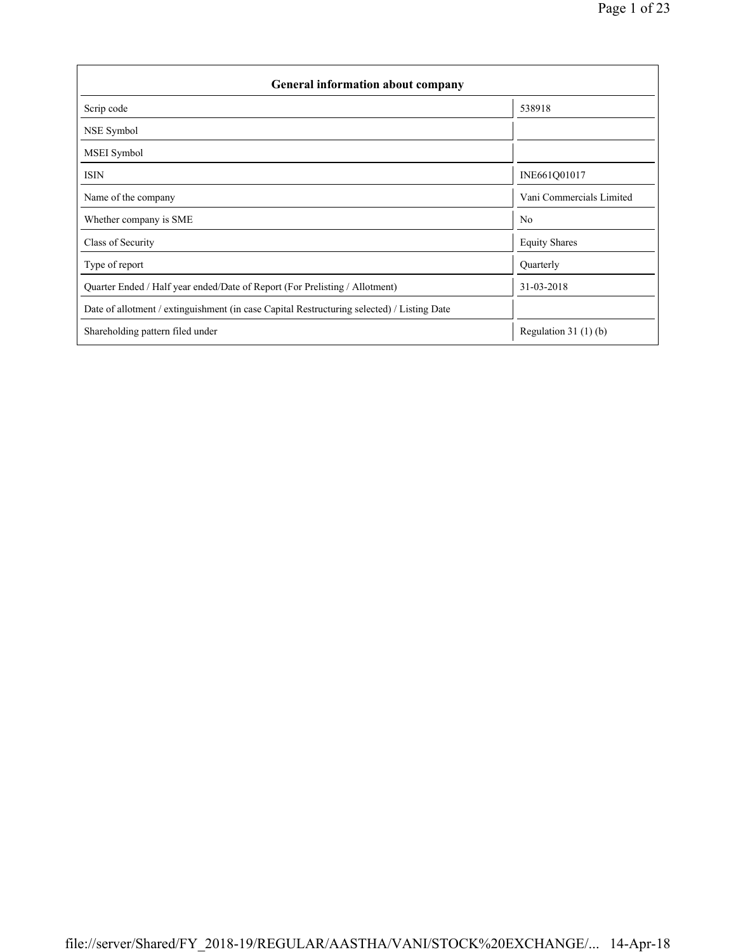| <b>General information about company</b>                                                   |                          |  |  |  |  |  |  |
|--------------------------------------------------------------------------------------------|--------------------------|--|--|--|--|--|--|
| Scrip code                                                                                 | 538918                   |  |  |  |  |  |  |
| NSE Symbol                                                                                 |                          |  |  |  |  |  |  |
| <b>MSEI</b> Symbol                                                                         |                          |  |  |  |  |  |  |
| <b>ISIN</b>                                                                                | INE661Q01017             |  |  |  |  |  |  |
| Name of the company                                                                        | Vani Commercials Limited |  |  |  |  |  |  |
| Whether company is SME                                                                     | N <sub>0</sub>           |  |  |  |  |  |  |
| Class of Security                                                                          | <b>Equity Shares</b>     |  |  |  |  |  |  |
| Type of report                                                                             | Quarterly                |  |  |  |  |  |  |
| Quarter Ended / Half year ended/Date of Report (For Prelisting / Allotment)                | 31-03-2018               |  |  |  |  |  |  |
| Date of allotment / extinguishment (in case Capital Restructuring selected) / Listing Date |                          |  |  |  |  |  |  |
| Shareholding pattern filed under                                                           | Regulation 31 $(1)(b)$   |  |  |  |  |  |  |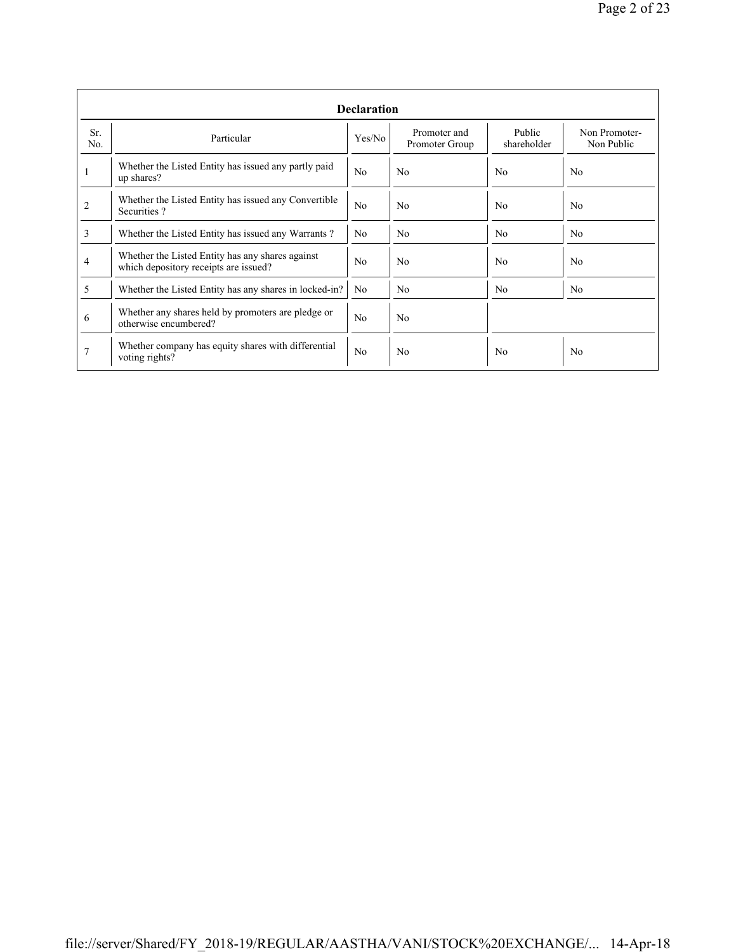|                | <b>Declaration</b>                                                                        |                |                                |                       |                             |  |  |  |  |  |  |
|----------------|-------------------------------------------------------------------------------------------|----------------|--------------------------------|-----------------------|-----------------------------|--|--|--|--|--|--|
| Sr.<br>No.     | Particular                                                                                | Yes/No         | Promoter and<br>Promoter Group | Public<br>shareholder | Non Promoter-<br>Non Public |  |  |  |  |  |  |
|                | Whether the Listed Entity has issued any partly paid<br>up shares?                        | N <sub>o</sub> | N <sub>0</sub>                 | N <sub>0</sub>        | N <sub>0</sub>              |  |  |  |  |  |  |
| $\overline{c}$ | Whether the Listed Entity has issued any Convertible<br>Securities?                       | N <sub>o</sub> | N <sub>0</sub>                 | N <sub>0</sub>        | N <sub>0</sub>              |  |  |  |  |  |  |
| 3              | Whether the Listed Entity has issued any Warrants?                                        | N <sub>0</sub> | N <sub>0</sub>                 | N <sub>0</sub>        | N <sub>0</sub>              |  |  |  |  |  |  |
| 4              | Whether the Listed Entity has any shares against<br>which depository receipts are issued? |                | N <sub>0</sub>                 | No                    | N <sub>0</sub>              |  |  |  |  |  |  |
| 5              | Whether the Listed Entity has any shares in locked-in?                                    | N <sub>0</sub> | N <sub>0</sub>                 | N <sub>0</sub>        | N <sub>0</sub>              |  |  |  |  |  |  |
| 6              | Whether any shares held by promoters are pledge or<br>otherwise encumbered?               | N <sub>o</sub> | N <sub>0</sub>                 |                       |                             |  |  |  |  |  |  |
| 7              | Whether company has equity shares with differential<br>voting rights?                     | N <sub>o</sub> | N <sub>0</sub>                 | N <sub>0</sub>        | N <sub>0</sub>              |  |  |  |  |  |  |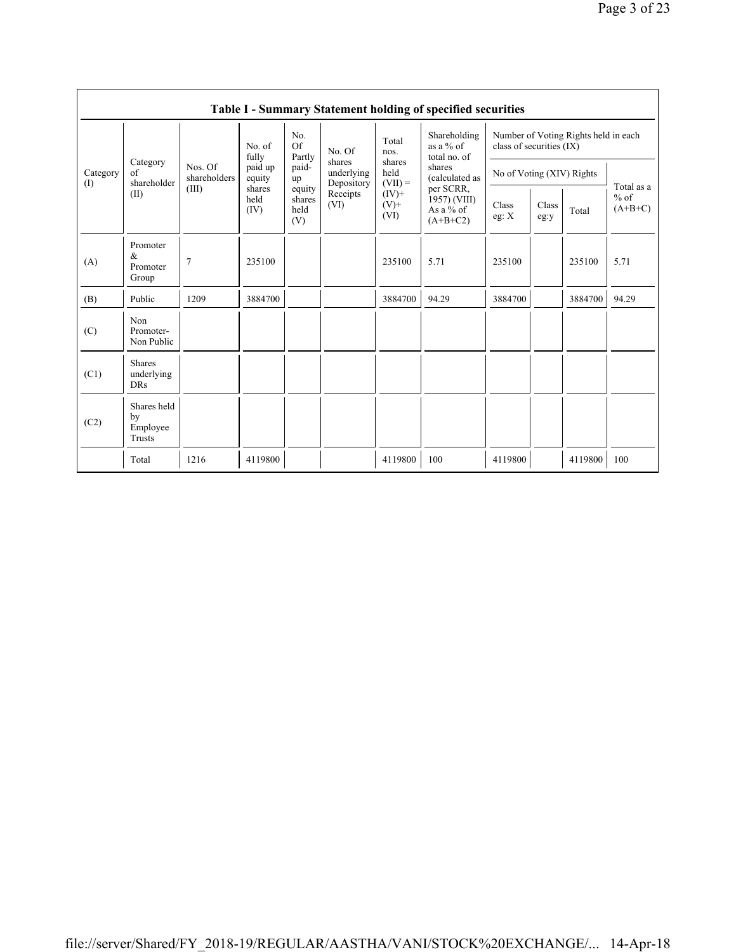|                 | Table I - Summary Statement holding of specified securities |                                  |                        |                                 |                                    |                             |                                                      |                                                                  |               |         |                                   |  |  |
|-----------------|-------------------------------------------------------------|----------------------------------|------------------------|---------------------------------|------------------------------------|-----------------------------|------------------------------------------------------|------------------------------------------------------------------|---------------|---------|-----------------------------------|--|--|
|                 |                                                             | Nos. Of<br>shareholders<br>(III) | No. of<br>fully        | No.<br>Of<br>Partly             | No. Of                             | Total<br>nos.               | Shareholding<br>as a % of<br>total no. of            | Number of Voting Rights held in each<br>class of securities (IX) |               |         |                                   |  |  |
| Category<br>(1) | Category<br>of<br>shareholder                               |                                  | paid up<br>equity      | paid-<br>up                     | shares<br>underlying<br>Depository | shares<br>held<br>$(VII) =$ | shares<br>(calculated as                             | No of Voting (XIV) Rights                                        |               |         |                                   |  |  |
|                 | (II)                                                        |                                  | shares<br>held<br>(IV) | equity<br>shares<br>held<br>(V) | Receipts<br>(VI)                   | $(IV)$ +<br>$(V)$ +<br>(VI) | per SCRR,<br>1957) (VIII)<br>As a % of<br>$(A+B+C2)$ | Class<br>eg: $X$                                                 | Class<br>eg:y | Total   | Total as a<br>$%$ of<br>$(A+B+C)$ |  |  |
| (A)             | Promoter<br>$\&$<br>Promoter<br>Group                       | 7                                | 235100                 |                                 |                                    | 235100                      | 5.71                                                 | 235100                                                           |               | 235100  | 5.71                              |  |  |
| (B)             | Public                                                      | 1209                             | 3884700                |                                 |                                    | 3884700                     | 94.29                                                | 3884700                                                          |               | 3884700 | 94.29                             |  |  |
| (C)             | Non<br>Promoter-<br>Non Public                              |                                  |                        |                                 |                                    |                             |                                                      |                                                                  |               |         |                                   |  |  |
| (C1)            | <b>Shares</b><br>underlying<br><b>DRs</b>                   |                                  |                        |                                 |                                    |                             |                                                      |                                                                  |               |         |                                   |  |  |
| (C2)            | Shares held<br>by<br>Employee<br>Trusts                     |                                  |                        |                                 |                                    |                             |                                                      |                                                                  |               |         |                                   |  |  |
|                 | Total                                                       | 1216                             | 4119800                |                                 |                                    | 4119800                     | 100                                                  | 4119800                                                          |               | 4119800 | 100                               |  |  |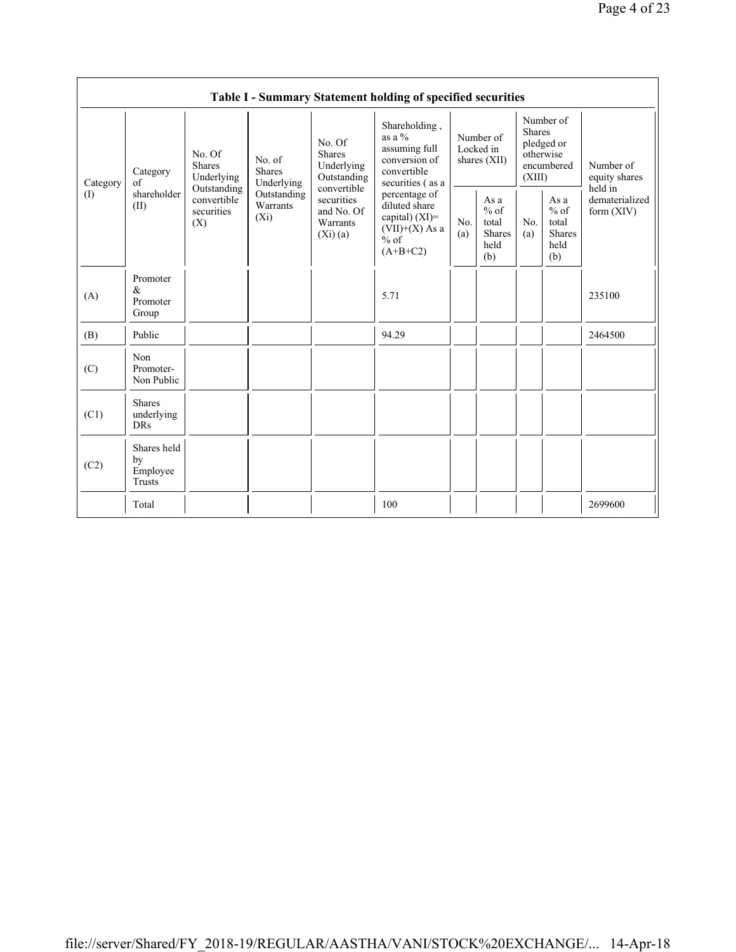| Table I - Summary Statement holding of specified securities |                                           |                                                                                   |                                                                             |                                                                                                                        |                                                                                                 |                                          |                                                         |                                                                               |                                                           |                                           |  |
|-------------------------------------------------------------|-------------------------------------------|-----------------------------------------------------------------------------------|-----------------------------------------------------------------------------|------------------------------------------------------------------------------------------------------------------------|-------------------------------------------------------------------------------------------------|------------------------------------------|---------------------------------------------------------|-------------------------------------------------------------------------------|-----------------------------------------------------------|-------------------------------------------|--|
| Category<br>(1)                                             | Category<br>of<br>shareholder<br>(II)     | No. Of<br>Shares<br>Underlying<br>Outstanding<br>convertible<br>securities<br>(X) | No. of<br><b>Shares</b><br>Underlying<br>Outstanding<br>Warrants<br>$(X_i)$ | No. Of<br><b>Shares</b><br>Underlying<br>Outstanding<br>convertible<br>securities<br>and No. Of<br>Warrants<br>(Xi)(a) | Shareholding,<br>as a $\%$<br>assuming full<br>conversion of<br>convertible<br>securities (as a | Number of<br>Locked in<br>shares $(XII)$ |                                                         | Number of<br><b>Shares</b><br>pledged or<br>otherwise<br>encumbered<br>(XIII) |                                                           | Number of<br>equity shares                |  |
|                                                             |                                           |                                                                                   |                                                                             |                                                                                                                        | percentage of<br>diluted share<br>capital) $(XI)=$<br>$(VII)+(X)$ As a<br>$%$ of<br>$(A+B+C2)$  | No.<br>(a)                               | As a<br>$%$ of<br>total<br><b>Shares</b><br>held<br>(b) | No.<br>(a)                                                                    | As $a$<br>$%$ of<br>total<br><b>Shares</b><br>held<br>(b) | held in<br>dematerialized<br>form $(XIV)$ |  |
| (A)                                                         | Promoter<br>$\alpha$<br>Promoter<br>Group |                                                                                   |                                                                             |                                                                                                                        | 5.71                                                                                            |                                          |                                                         |                                                                               |                                                           | 235100                                    |  |
| (B)                                                         | Public                                    |                                                                                   |                                                                             |                                                                                                                        | 94.29                                                                                           |                                          |                                                         |                                                                               |                                                           | 2464500                                   |  |
| (C)                                                         | Non<br>Promoter-<br>Non Public            |                                                                                   |                                                                             |                                                                                                                        |                                                                                                 |                                          |                                                         |                                                                               |                                                           |                                           |  |
| (C1)                                                        | <b>Shares</b><br>underlying<br><b>DRs</b> |                                                                                   |                                                                             |                                                                                                                        |                                                                                                 |                                          |                                                         |                                                                               |                                                           |                                           |  |
| (C2)                                                        | Shares held<br>by<br>Employee<br>Trusts   |                                                                                   |                                                                             |                                                                                                                        |                                                                                                 |                                          |                                                         |                                                                               |                                                           |                                           |  |
|                                                             | Total                                     |                                                                                   |                                                                             |                                                                                                                        | 100                                                                                             |                                          |                                                         |                                                                               |                                                           | 2699600                                   |  |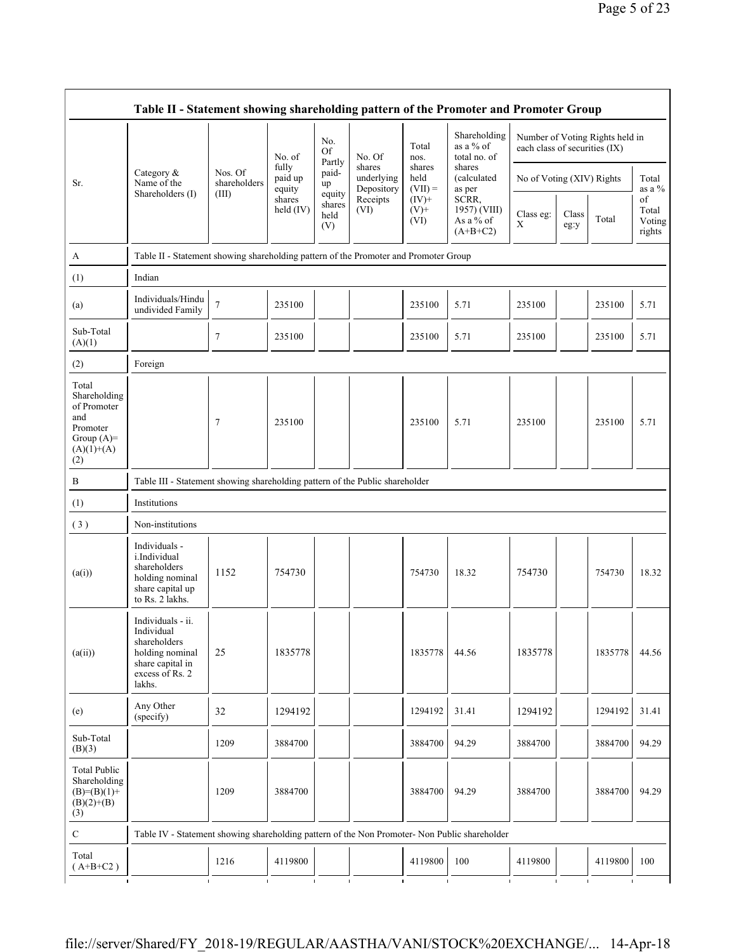|                                                                                                | Table II - Statement showing shareholding pattern of the Promoter and Promoter Group                                |                                  |                            |                                 |                                                        |                             |                                                                                      |                               |               |                                 |                                 |  |
|------------------------------------------------------------------------------------------------|---------------------------------------------------------------------------------------------------------------------|----------------------------------|----------------------------|---------------------------------|--------------------------------------------------------|-----------------------------|--------------------------------------------------------------------------------------|-------------------------------|---------------|---------------------------------|---------------------------------|--|
|                                                                                                |                                                                                                                     |                                  | No. of                     | No.<br><b>Of</b><br>Partly      | No. Of                                                 | Total<br>nos.               | Shareholding<br>as a $%$ of<br>total no. of                                          | each class of securities (IX) |               | Number of Voting Rights held in |                                 |  |
| Sr.                                                                                            | Category $\&$<br>Name of the<br>Shareholders (I)                                                                    | Nos. Of<br>shareholders<br>(III) | fully<br>paid up<br>equity | paid-<br>up                     | shares<br>underlying<br>Depository<br>Receipts<br>(VI) | shares<br>held<br>$(VII) =$ | shares<br>(calculated)<br>as per<br>SCRR,<br>1957) (VIII)<br>As a % of<br>$(A+B+C2)$ | No of Voting (XIV) Rights     |               |                                 | Total<br>as a %                 |  |
|                                                                                                |                                                                                                                     |                                  | shares<br>held (IV)        | equity<br>shares<br>held<br>(V) |                                                        | $(IV)+$<br>$(V)$ +<br>(VI)  |                                                                                      | Class eg:<br>X                | Class<br>eg:y | Total                           | of<br>Total<br>Voting<br>rights |  |
| A                                                                                              | Table II - Statement showing shareholding pattern of the Promoter and Promoter Group                                |                                  |                            |                                 |                                                        |                             |                                                                                      |                               |               |                                 |                                 |  |
| (1)                                                                                            | Indian                                                                                                              |                                  |                            |                                 |                                                        |                             |                                                                                      |                               |               |                                 |                                 |  |
| (a)                                                                                            | Individuals/Hindu<br>undivided Family                                                                               | $7\phantom{.0}$                  | 235100                     |                                 |                                                        | 235100                      | 5.71                                                                                 | 235100                        |               | 235100                          | 5.71                            |  |
| Sub-Total<br>(A)(1)                                                                            |                                                                                                                     | $\overline{7}$                   | 235100                     |                                 |                                                        | 235100                      | 5.71                                                                                 | 235100                        |               | 235100                          | 5.71                            |  |
| (2)                                                                                            | Foreign                                                                                                             |                                  |                            |                                 |                                                        |                             |                                                                                      |                               |               |                                 |                                 |  |
| Total<br>Shareholding<br>of Promoter<br>and<br>Promoter<br>Group $(A)=$<br>$(A)(1)+(A)$<br>(2) |                                                                                                                     | $\overline{7}$                   | 235100                     |                                 |                                                        | 235100                      | 5.71                                                                                 | 235100                        |               | 235100                          | 5.71                            |  |
| B                                                                                              | Table III - Statement showing shareholding pattern of the Public shareholder                                        |                                  |                            |                                 |                                                        |                             |                                                                                      |                               |               |                                 |                                 |  |
| (1)                                                                                            | Institutions                                                                                                        |                                  |                            |                                 |                                                        |                             |                                                                                      |                               |               |                                 |                                 |  |
| (3)                                                                                            | Non-institutions                                                                                                    |                                  |                            |                                 |                                                        |                             |                                                                                      |                               |               |                                 |                                 |  |
| (a(i))                                                                                         | Individuals -<br>i.Individual<br>shareholders<br>holding nominal<br>share capital up<br>to Rs. 2 lakhs.             | 1152                             | 754730                     |                                 |                                                        | 754730                      | 18.32                                                                                | 754730                        |               | 754730                          | 18.32                           |  |
| (a(ii))                                                                                        | Individuals - ii.<br>Individual<br>shareholders<br>holding nominal<br>share capital in<br>excess of Rs. 2<br>lakhs. | 25                               | 1835778                    |                                 |                                                        | 1835778                     | 44.56                                                                                | 1835778                       |               | 1835778                         | 44.56                           |  |
| (e)                                                                                            | Any Other<br>(specify)                                                                                              | 32                               | 1294192                    |                                 |                                                        | 1294192                     | 31.41                                                                                | 1294192                       |               | 1294192                         | 31.41                           |  |
| Sub-Total<br>(B)(3)                                                                            |                                                                                                                     | 1209                             | 3884700                    |                                 |                                                        | 3884700                     | 94.29                                                                                | 3884700                       |               | 3884700                         | 94.29                           |  |
| <b>Total Public</b><br>Shareholding<br>$(B)=(B)(1)+$<br>$(B)(2)+(B)$<br>(3)                    |                                                                                                                     | 1209                             | 3884700                    |                                 |                                                        | 3884700                     | 94.29                                                                                | 3884700                       |               | 3884700                         | 94.29                           |  |
| $\mathbf C$                                                                                    | Table IV - Statement showing shareholding pattern of the Non Promoter- Non Public shareholder                       |                                  |                            |                                 |                                                        |                             |                                                                                      |                               |               |                                 |                                 |  |
| Total<br>$(A+B+C2)$                                                                            |                                                                                                                     | 1216                             | 4119800                    |                                 |                                                        | 4119800                     | 100                                                                                  | 4119800                       |               | 4119800                         | 100                             |  |
|                                                                                                |                                                                                                                     |                                  |                            |                                 |                                                        |                             |                                                                                      |                               |               |                                 |                                 |  |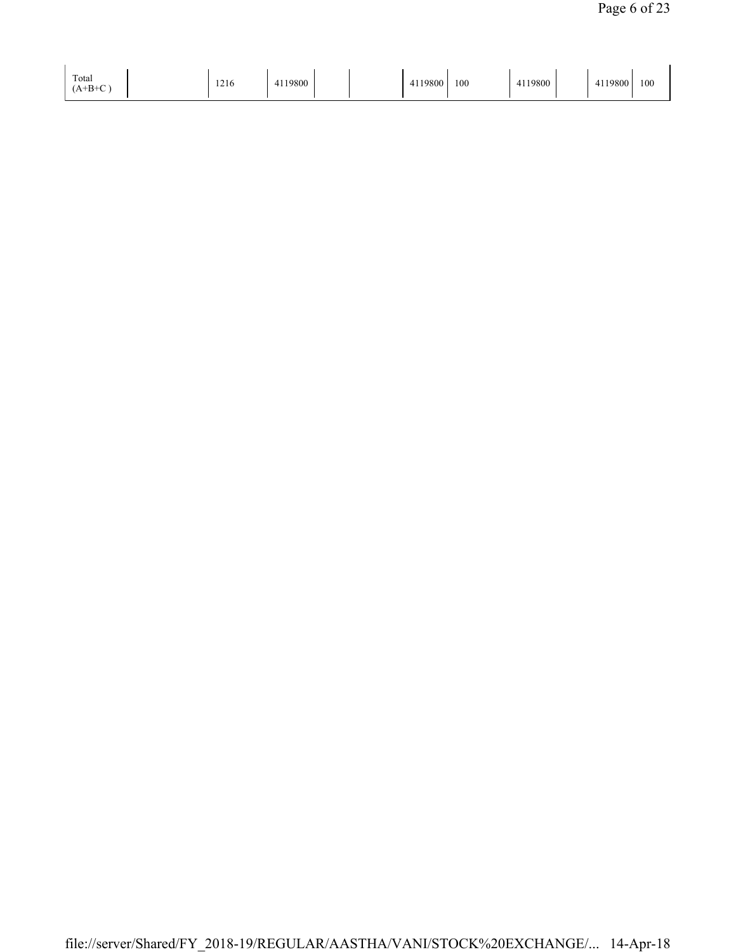| Total<br>$(A+B+C)$ | 1011<br>1216 | 4119800 |  | 119800<br>$\rightarrow$ | 100 | 4119800 |  | 1119800<br>$\leftarrow$ | 100 |
|--------------------|--------------|---------|--|-------------------------|-----|---------|--|-------------------------|-----|
|--------------------|--------------|---------|--|-------------------------|-----|---------|--|-------------------------|-----|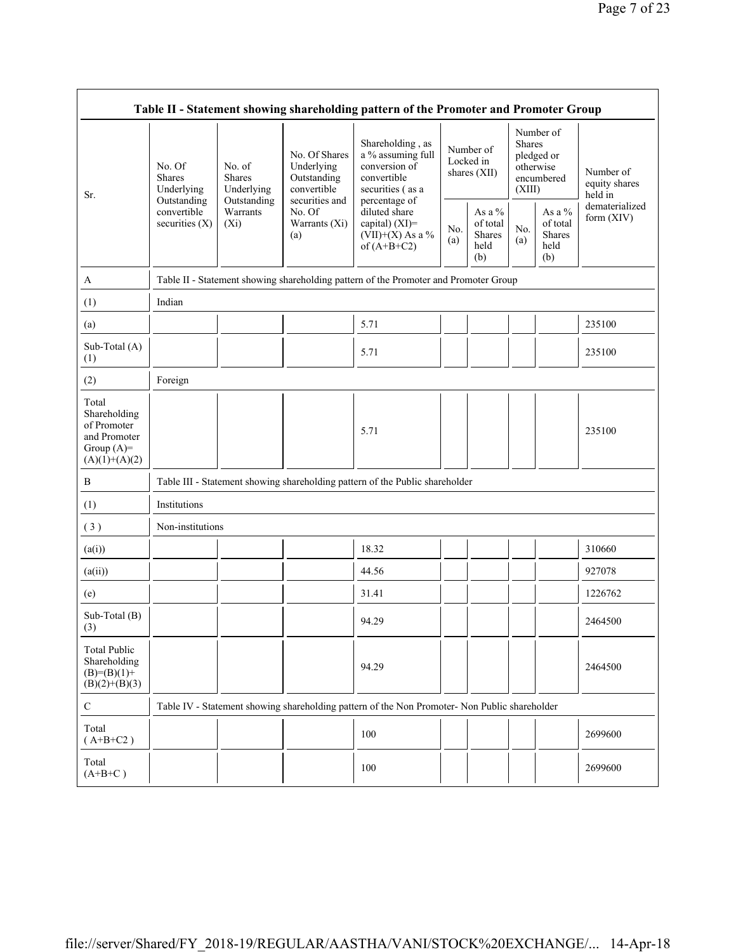| Table II - Statement showing shareholding pattern of the Promoter and Promoter Group    |                                                                                         |                                                                                      |                                                                                                               |                                                                                                            |            |                                             |                  |                                                    |                                                         |  |  |
|-----------------------------------------------------------------------------------------|-----------------------------------------------------------------------------------------|--------------------------------------------------------------------------------------|---------------------------------------------------------------------------------------------------------------|------------------------------------------------------------------------------------------------------------|------------|---------------------------------------------|------------------|----------------------------------------------------|---------------------------------------------------------|--|--|
| Sr.                                                                                     | No. Of<br><b>Shares</b><br>Underlying<br>Outstanding<br>convertible<br>securities $(X)$ | No. of<br><b>Shares</b><br>Underlying                                                | No. Of Shares<br>Underlying<br>Outstanding<br>convertible<br>securities and<br>No. Of<br>Warrants (Xi)<br>(a) | Shareholding, as<br>a % assuming full<br>conversion of<br>convertible<br>securities (as a<br>percentage of |            | Number of<br>Locked in<br>shares (XII)      | Shares<br>(XIII) | Number of<br>pledged or<br>otherwise<br>encumbered | Number of<br>equity shares<br>held in<br>dematerialized |  |  |
|                                                                                         |                                                                                         | Outstanding<br>Warrants<br>$(X_i)$                                                   |                                                                                                               | diluted share<br>capital) $(XI)$ =<br>$(VII)+(X)$ As a %<br>of $(A+B+C2)$                                  | No.<br>(a) | As a %<br>of total<br>Shares<br>held<br>(b) | No.<br>(a)       | As a $\%$<br>of total<br>Shares<br>held<br>(b)     | form $(XIV)$                                            |  |  |
| A                                                                                       |                                                                                         | Table II - Statement showing shareholding pattern of the Promoter and Promoter Group |                                                                                                               |                                                                                                            |            |                                             |                  |                                                    |                                                         |  |  |
| (1)                                                                                     | Indian                                                                                  |                                                                                      |                                                                                                               |                                                                                                            |            |                                             |                  |                                                    |                                                         |  |  |
| (a)                                                                                     |                                                                                         |                                                                                      |                                                                                                               | 5.71                                                                                                       |            |                                             |                  |                                                    | 235100                                                  |  |  |
| Sub-Total (A)<br>(1)                                                                    |                                                                                         |                                                                                      |                                                                                                               | 5.71                                                                                                       |            |                                             |                  |                                                    | 235100                                                  |  |  |
| (2)                                                                                     | Foreign                                                                                 |                                                                                      |                                                                                                               |                                                                                                            |            |                                             |                  |                                                    |                                                         |  |  |
| Total<br>Shareholding<br>of Promoter<br>and Promoter<br>Group $(A)=$<br>$(A)(1)+(A)(2)$ |                                                                                         |                                                                                      |                                                                                                               | 5.71                                                                                                       |            |                                             |                  |                                                    | 235100                                                  |  |  |
| B                                                                                       |                                                                                         |                                                                                      |                                                                                                               | Table III - Statement showing shareholding pattern of the Public shareholder                               |            |                                             |                  |                                                    |                                                         |  |  |
| (1)                                                                                     | Institutions                                                                            |                                                                                      |                                                                                                               |                                                                                                            |            |                                             |                  |                                                    |                                                         |  |  |
| (3)                                                                                     | Non-institutions                                                                        |                                                                                      |                                                                                                               |                                                                                                            |            |                                             |                  |                                                    |                                                         |  |  |
| (a(i))                                                                                  |                                                                                         |                                                                                      |                                                                                                               | 18.32                                                                                                      |            |                                             |                  |                                                    | 310660                                                  |  |  |
| (a(ii))                                                                                 |                                                                                         |                                                                                      |                                                                                                               | 44.56                                                                                                      |            |                                             |                  |                                                    | 927078                                                  |  |  |
| (e)                                                                                     |                                                                                         |                                                                                      |                                                                                                               | 31.41                                                                                                      |            |                                             |                  |                                                    | 1226762                                                 |  |  |
| Sub-Total (B)<br>(3)                                                                    |                                                                                         |                                                                                      |                                                                                                               | 94.29                                                                                                      |            |                                             |                  |                                                    | 2464500                                                 |  |  |
| <b>Total Public</b><br>Shareholding<br>$(B)= (B)(1) +$<br>$(B)(2)+(B)(3)$               |                                                                                         |                                                                                      |                                                                                                               | 94.29                                                                                                      |            |                                             |                  |                                                    | 2464500                                                 |  |  |
| $\mathsf{C}$                                                                            |                                                                                         |                                                                                      |                                                                                                               | Table IV - Statement showing shareholding pattern of the Non Promoter- Non Public shareholder              |            |                                             |                  |                                                    |                                                         |  |  |
| Total<br>$(A+B+C2)$                                                                     |                                                                                         |                                                                                      |                                                                                                               | 100                                                                                                        |            |                                             |                  |                                                    | 2699600                                                 |  |  |
| Total<br>$(A+B+C)$                                                                      |                                                                                         |                                                                                      |                                                                                                               | 100                                                                                                        |            |                                             |                  |                                                    | 2699600                                                 |  |  |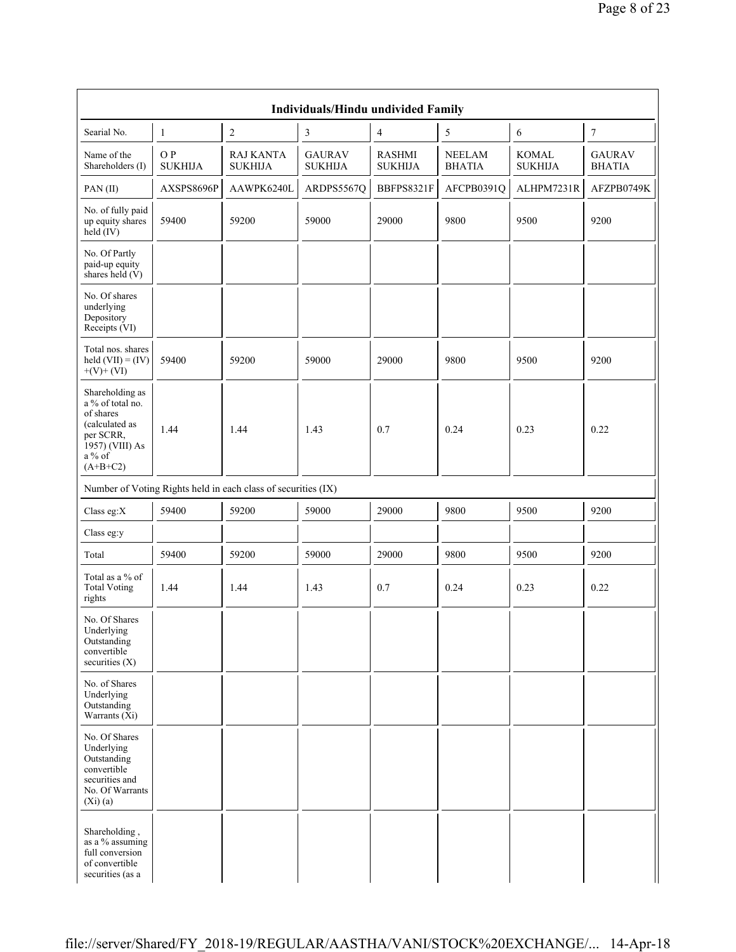| <b>Individuals/Hindu undivided Family</b>                                                                                    |                       |                                                               |                                 |                                 |                                |                                |                                |  |  |  |  |
|------------------------------------------------------------------------------------------------------------------------------|-----------------------|---------------------------------------------------------------|---------------------------------|---------------------------------|--------------------------------|--------------------------------|--------------------------------|--|--|--|--|
| Searial No.                                                                                                                  | $\mathbf{1}$          | 2                                                             | 3                               | 4                               | 5                              | 6                              | 7                              |  |  |  |  |
| Name of the<br>Shareholders (I)                                                                                              | O P<br><b>SUKHIJA</b> | <b>RAJ KANTA</b><br><b>SUKHIJA</b>                            | <b>GAURAV</b><br><b>SUKHIJA</b> | <b>RASHMI</b><br><b>SUKHIJA</b> | <b>NEELAM</b><br><b>BHATIA</b> | <b>KOMAL</b><br><b>SUKHIJA</b> | <b>GAURAV</b><br><b>BHATIA</b> |  |  |  |  |
| PAN(II)                                                                                                                      | AXSPS8696P            | AAWPK6240L                                                    | ARDPS5567Q                      | BBFPS8321F                      | AFCPB0391Q                     | ALHPM7231R                     | AFZPB0749K                     |  |  |  |  |
| No. of fully paid<br>up equity shares<br>held $(IV)$                                                                         | 59400                 | 59200                                                         | 59000                           | 29000                           | 9800                           | 9500                           | 9200                           |  |  |  |  |
| No. Of Partly<br>paid-up equity<br>shares held (V)                                                                           |                       |                                                               |                                 |                                 |                                |                                |                                |  |  |  |  |
| No. Of shares<br>underlying<br>Depository<br>Receipts (VI)                                                                   |                       |                                                               |                                 |                                 |                                |                                |                                |  |  |  |  |
| Total nos. shares<br>held $(VII) = (IV)$<br>$+(V)+(VI)$                                                                      | 59400                 | 59200                                                         | 59000                           | 29000                           | 9800                           | 9500                           | 9200                           |  |  |  |  |
| Shareholding as<br>a % of total no.<br>of shares<br>(calculated as<br>per SCRR,<br>1957) (VIII) As<br>$a\%$ of<br>$(A+B+C2)$ | 1.44                  | 1.44                                                          | 1.43                            | 0.7                             | 0.24                           | 0.23                           | 0.22                           |  |  |  |  |
|                                                                                                                              |                       | Number of Voting Rights held in each class of securities (IX) |                                 |                                 |                                |                                |                                |  |  |  |  |
| Class eg:X                                                                                                                   | 59400                 | 59200                                                         | 59000                           | 29000                           | 9800                           | 9500                           | 9200                           |  |  |  |  |
| Class eg:y                                                                                                                   |                       |                                                               |                                 |                                 |                                |                                |                                |  |  |  |  |
| Total                                                                                                                        | 59400                 | 59200                                                         | 59000                           | 29000                           | 9800                           | 9500                           | 9200                           |  |  |  |  |
| Total as a % of<br><b>Total Voting</b><br>rights                                                                             | 1.44                  | 1.44                                                          | 1.43                            | 0.7                             | 0.24                           | 0.23                           | 0.22                           |  |  |  |  |
| No. Of Shares<br>Underlying<br>Outstanding<br>convertible<br>securities (X)                                                  |                       |                                                               |                                 |                                 |                                |                                |                                |  |  |  |  |
| No. of Shares<br>Underlying<br>Outstanding<br>Warrants $(X_i)$                                                               |                       |                                                               |                                 |                                 |                                |                                |                                |  |  |  |  |
| No. Of Shares<br>Underlying<br>Outstanding<br>convertible<br>securities and<br>No. Of Warrants<br>(Xi)(a)                    |                       |                                                               |                                 |                                 |                                |                                |                                |  |  |  |  |
| Shareholding,<br>as a % assuming<br>full conversion<br>of convertible<br>securities (as a                                    |                       |                                                               |                                 |                                 |                                |                                |                                |  |  |  |  |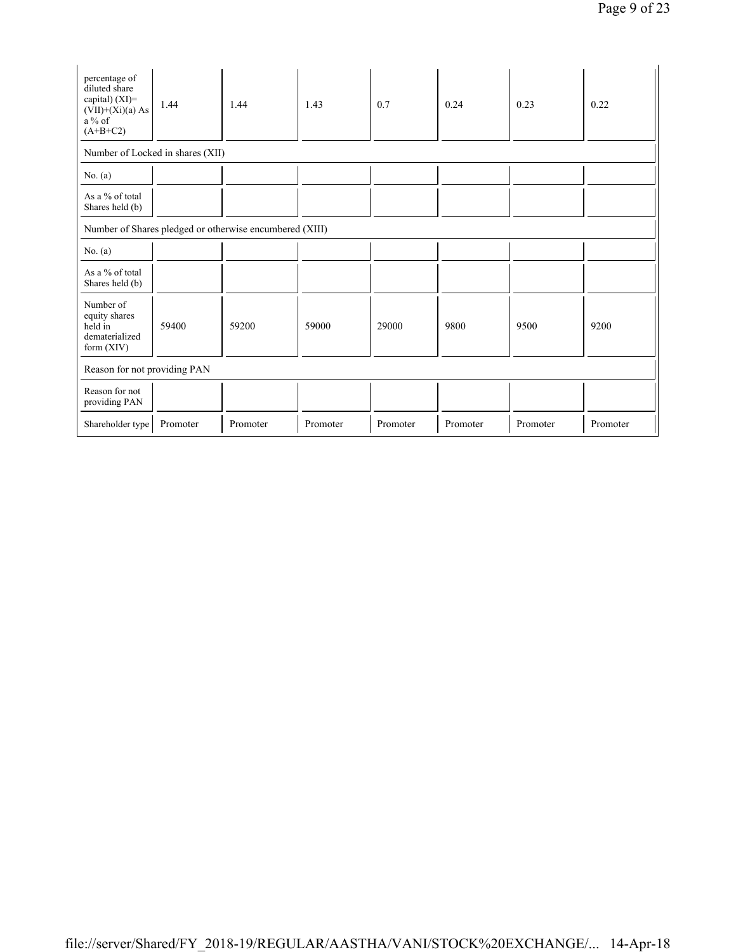| percentage of<br>diluted share<br>capital) (XI)=<br>$(VII)+(Xi)(a)$ As<br>$a\%$ of<br>$(A+B+C2)$ | 1.44     | 1.44     | 1.43     | 0.7      | 0.24     | 0.23     | 0.22     |  |  |  |  |
|--------------------------------------------------------------------------------------------------|----------|----------|----------|----------|----------|----------|----------|--|--|--|--|
| Number of Locked in shares (XII)                                                                 |          |          |          |          |          |          |          |  |  |  |  |
| No. (a)                                                                                          |          |          |          |          |          |          |          |  |  |  |  |
| As a % of total<br>Shares held (b)                                                               |          |          |          |          |          |          |          |  |  |  |  |
| Number of Shares pledged or otherwise encumbered (XIII)                                          |          |          |          |          |          |          |          |  |  |  |  |
| No. (a)                                                                                          |          |          |          |          |          |          |          |  |  |  |  |
| As a % of total<br>Shares held (b)                                                               |          |          |          |          |          |          |          |  |  |  |  |
| Number of<br>equity shares<br>held in<br>dematerialized<br>form (XIV)                            | 59400    | 59200    | 59000    | 29000    | 9800     | 9500     | 9200     |  |  |  |  |
| Reason for not providing PAN                                                                     |          |          |          |          |          |          |          |  |  |  |  |
| Reason for not<br>providing PAN                                                                  |          |          |          |          |          |          |          |  |  |  |  |
| Shareholder type                                                                                 | Promoter | Promoter | Promoter | Promoter | Promoter | Promoter | Promoter |  |  |  |  |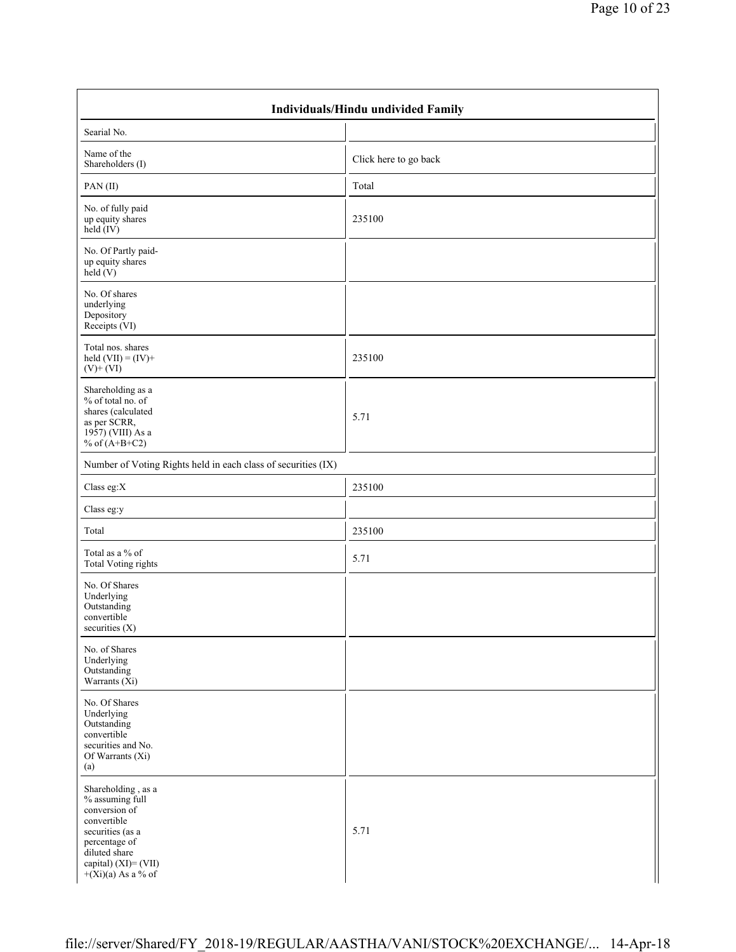| Individuals/Hindu undivided Family                                                                                                                                          |                       |  |  |  |  |  |  |  |
|-----------------------------------------------------------------------------------------------------------------------------------------------------------------------------|-----------------------|--|--|--|--|--|--|--|
| Searial No.                                                                                                                                                                 |                       |  |  |  |  |  |  |  |
| Name of the<br>Shareholders (I)                                                                                                                                             | Click here to go back |  |  |  |  |  |  |  |
| PAN(II)                                                                                                                                                                     | Total                 |  |  |  |  |  |  |  |
| No. of fully paid<br>up equity shares<br>held $(IV)$                                                                                                                        | 235100                |  |  |  |  |  |  |  |
| No. Of Partly paid-<br>up equity shares<br>$\text{held}(V)$                                                                                                                 |                       |  |  |  |  |  |  |  |
| No. Of shares<br>underlying<br>Depository<br>Receipts (VI)                                                                                                                  |                       |  |  |  |  |  |  |  |
| Total nos. shares<br>held $(VII) = (IV) +$<br>$(V)$ + $(VI)$                                                                                                                | 235100                |  |  |  |  |  |  |  |
| Shareholding as a<br>% of total no. of<br>shares (calculated<br>as per SCRR,<br>1957) (VIII) As a<br>% of $(A+B+C2)$                                                        | 5.71                  |  |  |  |  |  |  |  |
| Number of Voting Rights held in each class of securities (IX)                                                                                                               |                       |  |  |  |  |  |  |  |
| Class eg:X                                                                                                                                                                  | 235100                |  |  |  |  |  |  |  |
| Class eg:y                                                                                                                                                                  |                       |  |  |  |  |  |  |  |
| Total                                                                                                                                                                       | 235100                |  |  |  |  |  |  |  |
| Total as a % of<br><b>Total Voting rights</b>                                                                                                                               | 5.71                  |  |  |  |  |  |  |  |
| No. Of Shares<br>Underlying<br>Outstanding<br>convertible<br>securities $(X)$                                                                                               |                       |  |  |  |  |  |  |  |
| No. of Shares<br>Underlying<br>Outstanding<br>Warrants $(X_i)$                                                                                                              |                       |  |  |  |  |  |  |  |
| No. Of Shares<br>Underlying<br>Outstanding<br>convertible<br>securities and No.<br>Of Warrants (Xi)<br>(a)                                                                  |                       |  |  |  |  |  |  |  |
| Shareholding, as a<br>% assuming full<br>conversion of<br>convertible<br>securities (as a<br>percentage of<br>diluted share<br>capital) (XI)= (VII)<br>$+(Xi)(a)$ As a % of | 5.71                  |  |  |  |  |  |  |  |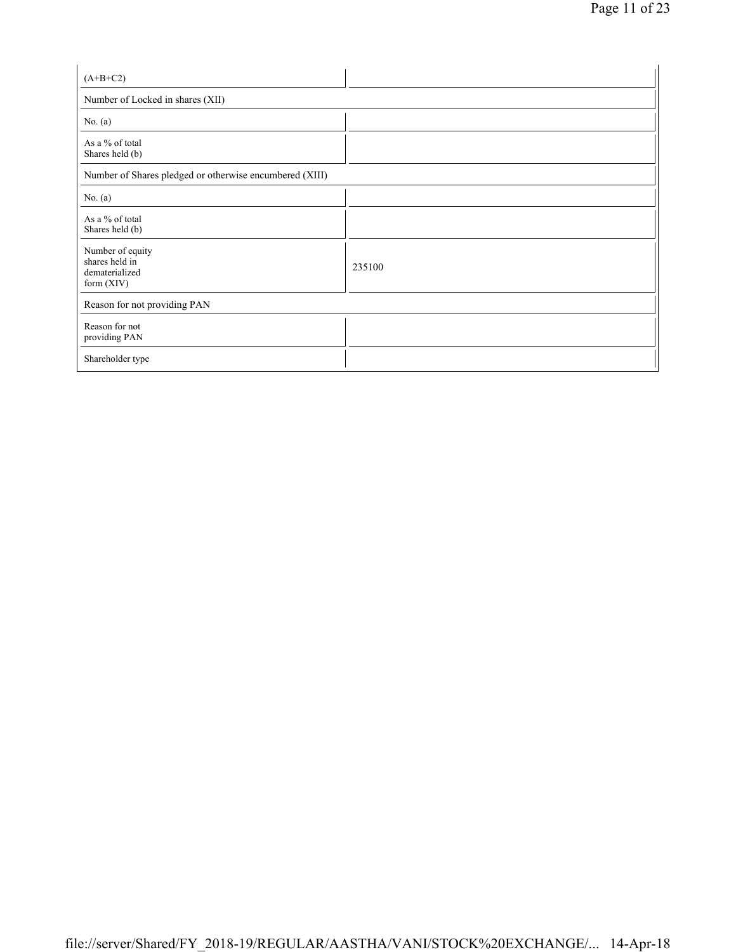| $(A+B+C2)$                                                         |        |
|--------------------------------------------------------------------|--------|
| Number of Locked in shares (XII)                                   |        |
| No. $(a)$                                                          |        |
| As a % of total<br>Shares held (b)                                 |        |
| Number of Shares pledged or otherwise encumbered (XIII)            |        |
| No. (a)                                                            |        |
| As a % of total<br>Shares held (b)                                 |        |
| Number of equity<br>shares held in<br>dematerialized<br>form (XIV) | 235100 |
| Reason for not providing PAN                                       |        |
| Reason for not<br>providing PAN                                    |        |
| Shareholder type                                                   |        |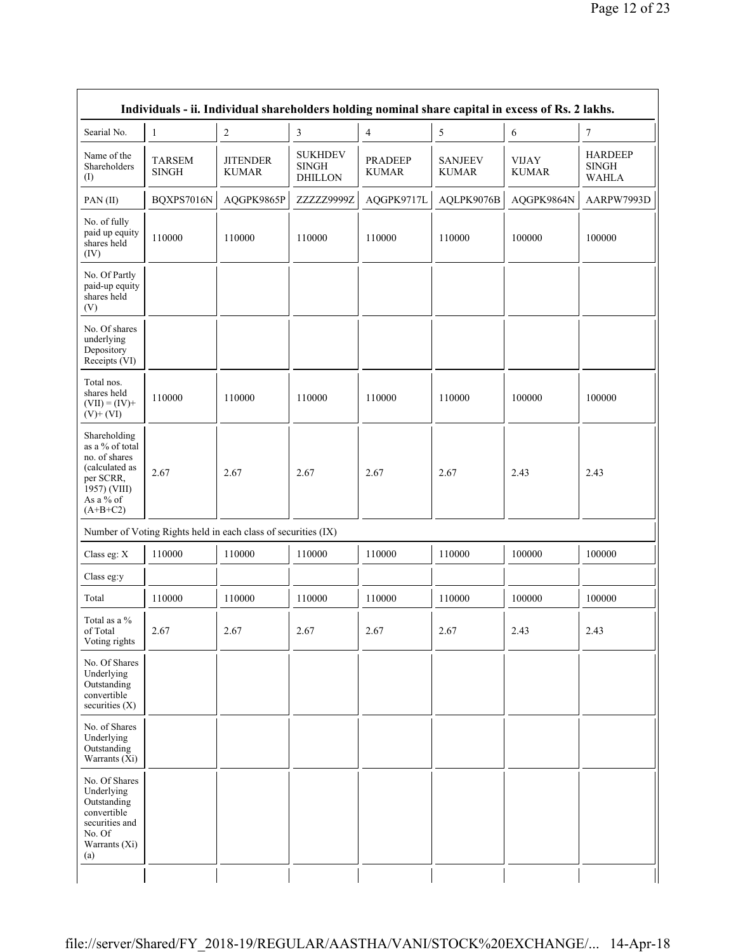| Individuals - ii. Individual shareholders holding nominal share capital in excess of Rs. 2 lakhs.                          |                               |                                                               |                                                  |                                |                                |                              |                                                |  |  |  |  |
|----------------------------------------------------------------------------------------------------------------------------|-------------------------------|---------------------------------------------------------------|--------------------------------------------------|--------------------------------|--------------------------------|------------------------------|------------------------------------------------|--|--|--|--|
| Searial No.                                                                                                                | $\mathbf{1}$                  | $\overline{c}$                                                | $\mathfrak{Z}$                                   | 4                              | 5                              | 6                            | 7                                              |  |  |  |  |
| Name of the<br>Shareholders<br>$($ I $)$                                                                                   | <b>TARSEM</b><br><b>SINGH</b> | <b>JITENDER</b><br><b>KUMAR</b>                               | <b>SUKHDEV</b><br><b>SINGH</b><br><b>DHILLON</b> | <b>PRADEEP</b><br><b>KUMAR</b> | <b>SANJEEV</b><br><b>KUMAR</b> | <b>VIJAY</b><br><b>KUMAR</b> | <b>HARDEEP</b><br><b>SINGH</b><br><b>WAHLA</b> |  |  |  |  |
| PAN(II)                                                                                                                    | BQXPS7016N                    | AQGPK9865P                                                    | ZZZZZ9999Z                                       | AQGPK9717L                     | AQLPK9076B                     | AQGPK9864N                   | AARPW7993D                                     |  |  |  |  |
| No. of fully<br>paid up equity<br>shares held<br>(IV)                                                                      | 110000                        | 110000                                                        | 110000                                           | 110000                         | 110000                         | 100000                       | 100000                                         |  |  |  |  |
| No. Of Partly<br>paid-up equity<br>shares held<br>(V)                                                                      |                               |                                                               |                                                  |                                |                                |                              |                                                |  |  |  |  |
| No. Of shares<br>underlying<br>Depository<br>Receipts (VI)                                                                 |                               |                                                               |                                                  |                                |                                |                              |                                                |  |  |  |  |
| Total nos.<br>shares held<br>$(VII) = (IV) +$<br>$(V)$ + $(VI)$                                                            | 110000                        | 110000                                                        | 110000                                           | 110000                         | 110000                         | 100000                       | 100000                                         |  |  |  |  |
| Shareholding<br>as a % of total<br>no. of shares<br>(calculated as<br>per SCRR,<br>1957) (VIII)<br>As a % of<br>$(A+B+C2)$ | 2.67                          | 2.67                                                          | 2.67                                             | 2.67                           | 2.67                           | 2.43                         | 2.43                                           |  |  |  |  |
|                                                                                                                            |                               | Number of Voting Rights held in each class of securities (IX) |                                                  |                                |                                |                              |                                                |  |  |  |  |
| Class eg: X                                                                                                                | 110000                        | 110000                                                        | 110000                                           | 110000                         | 110000                         | 100000                       | 100000                                         |  |  |  |  |
| Class eg:y                                                                                                                 |                               |                                                               |                                                  |                                |                                |                              |                                                |  |  |  |  |
| Total                                                                                                                      | 110000                        | 110000                                                        | 110000                                           | 110000                         | 110000                         | 100000                       | 100000                                         |  |  |  |  |
| Total as a %<br>of Total<br>Voting rights                                                                                  | 2.67                          | 2.67                                                          | 2.67                                             | 2.67                           | 2.67                           | 2.43                         | 2.43                                           |  |  |  |  |
| No. Of Shares<br>Underlying<br>Outstanding<br>convertible<br>securities (X)                                                |                               |                                                               |                                                  |                                |                                |                              |                                                |  |  |  |  |
| No. of Shares<br>Underlying<br>Outstanding<br>Warrants (Xi)                                                                |                               |                                                               |                                                  |                                |                                |                              |                                                |  |  |  |  |
| No. Of Shares<br>Underlying<br>Outstanding<br>convertible<br>securities and<br>No. Of<br>Warrants (Xi)<br>(a)              |                               |                                                               |                                                  |                                |                                |                              |                                                |  |  |  |  |
|                                                                                                                            |                               |                                                               |                                                  |                                |                                |                              |                                                |  |  |  |  |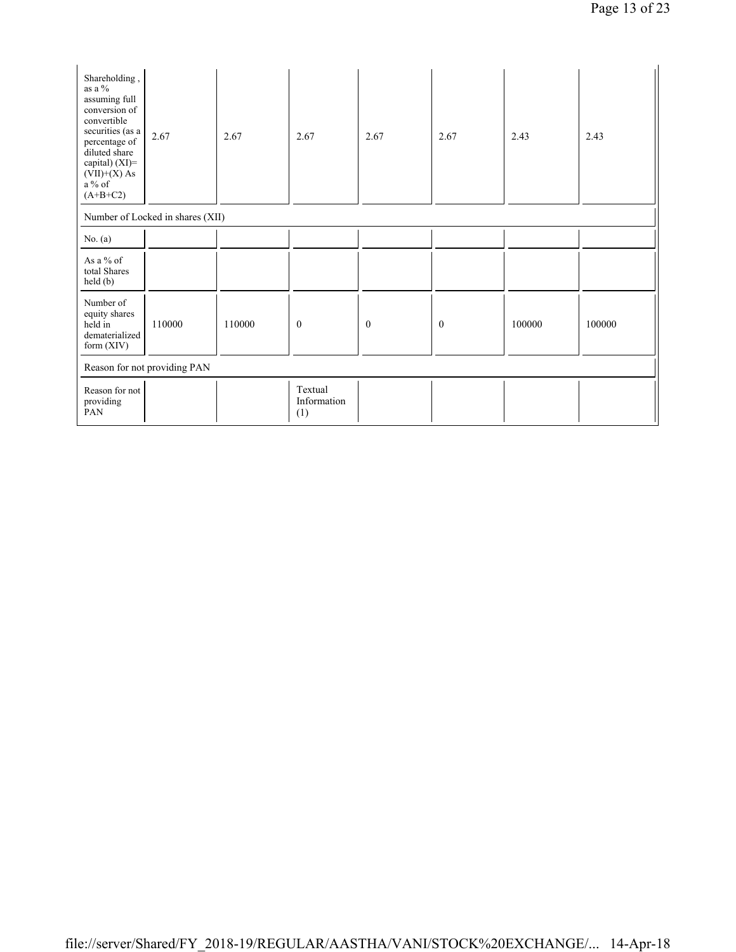| Shareholding,<br>as a %<br>assuming full<br>conversion of<br>convertible<br>securities (as a<br>percentage of<br>diluted share<br>capital) (XI)=<br>$(VII)+(X)$ As<br>a % of<br>$(A+B+C2)$ | 2.67                             | 2.67   | 2.67                          | 2.67         | 2.67         | 2.43   | 2.43   |
|--------------------------------------------------------------------------------------------------------------------------------------------------------------------------------------------|----------------------------------|--------|-------------------------------|--------------|--------------|--------|--------|
|                                                                                                                                                                                            | Number of Locked in shares (XII) |        |                               |              |              |        |        |
| No. $(a)$                                                                                                                                                                                  |                                  |        |                               |              |              |        |        |
| As a $%$ of<br>total Shares<br>held(b)                                                                                                                                                     |                                  |        |                               |              |              |        |        |
| Number of<br>equity shares<br>held in<br>dematerialized<br>form $(XIV)$                                                                                                                    | 110000                           | 110000 | $\theta$                      | $\mathbf{0}$ | $\mathbf{0}$ | 100000 | 100000 |
|                                                                                                                                                                                            | Reason for not providing PAN     |        |                               |              |              |        |        |
| Reason for not<br>providing<br>PAN                                                                                                                                                         |                                  |        | Textual<br>Information<br>(1) |              |              |        |        |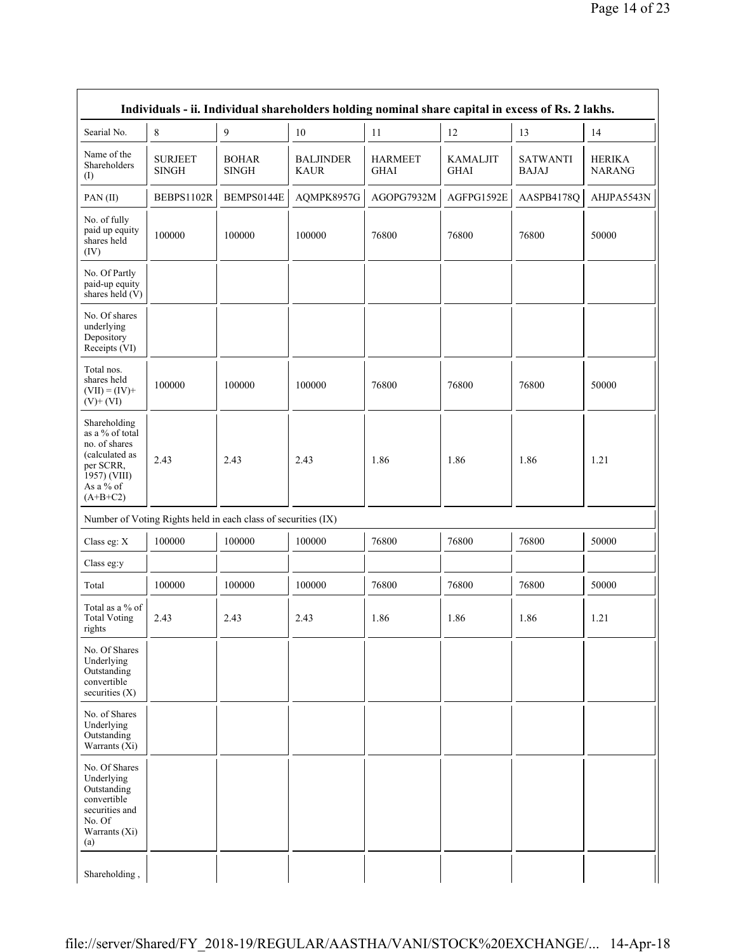|                                                                                                                            | Individuals - ii. Individual shareholders holding nominal share capital in excess of Rs. 2 lakhs. |                                                               |                                 |                               |                                |                                 |                                |  |  |
|----------------------------------------------------------------------------------------------------------------------------|---------------------------------------------------------------------------------------------------|---------------------------------------------------------------|---------------------------------|-------------------------------|--------------------------------|---------------------------------|--------------------------------|--|--|
| Searial No.                                                                                                                | 8                                                                                                 | 9                                                             | 10                              | 11                            | 12                             | 13                              | 14                             |  |  |
| Name of the<br>Shareholders<br>$($ I                                                                                       | <b>SURJEET</b><br><b>SINGH</b>                                                                    | <b>BOHAR</b><br><b>SINGH</b>                                  | <b>BALJINDER</b><br><b>KAUR</b> | <b>HARMEET</b><br><b>GHAI</b> | <b>KAMALJIT</b><br><b>GHAI</b> | <b>SATWANTI</b><br><b>BAJAJ</b> | <b>HERIKA</b><br><b>NARANG</b> |  |  |
| PAN(II)                                                                                                                    | BEBPS1102R                                                                                        | BEMPS0144E                                                    | AQMPK8957G                      | AGOPG7932M                    | AGFPG1592E                     | AASPB4178Q                      | AHJPA5543N                     |  |  |
| No. of fully<br>paid up equity<br>shares held<br>(IV)                                                                      | 100000                                                                                            | 100000                                                        | 100000                          | 76800                         | 76800                          | 76800                           | 50000                          |  |  |
| No. Of Partly<br>paid-up equity<br>shares held (V)                                                                         |                                                                                                   |                                                               |                                 |                               |                                |                                 |                                |  |  |
| No. Of shares<br>underlying<br>Depository<br>Receipts (VI)                                                                 |                                                                                                   |                                                               |                                 |                               |                                |                                 |                                |  |  |
| Total nos.<br>shares held<br>$(VII) = (IV) +$<br>$(V)$ + $(VI)$                                                            | 100000                                                                                            | 100000                                                        | 100000                          | 76800                         | 76800                          | 76800                           | 50000                          |  |  |
| Shareholding<br>as a % of total<br>no. of shares<br>(calculated as<br>per SCRR,<br>1957) (VIII)<br>As a % of<br>$(A+B+C2)$ | 2.43                                                                                              | 2.43                                                          | 2.43                            | 1.86                          | 1.86                           | 1.86                            | 1.21                           |  |  |
|                                                                                                                            |                                                                                                   | Number of Voting Rights held in each class of securities (IX) |                                 |                               |                                |                                 |                                |  |  |
| Class eg: X                                                                                                                | 100000                                                                                            | 100000                                                        | 100000                          | 76800                         | 76800                          | 76800                           | 50000                          |  |  |
| Class eg:y                                                                                                                 |                                                                                                   |                                                               |                                 |                               |                                |                                 |                                |  |  |
| Total                                                                                                                      | 100000                                                                                            | 100000                                                        | 100000                          | 76800                         | 76800                          | 76800                           | 50000                          |  |  |
| Total as a % of<br><b>Total Voting</b><br>rights                                                                           | 2.43                                                                                              | 2.43                                                          | 2.43                            | 1.86                          | 1.86                           | 1.86                            | 1.21                           |  |  |
| No. Of Shares<br>Underlying<br>Outstanding<br>convertible<br>securities $(X)$                                              |                                                                                                   |                                                               |                                 |                               |                                |                                 |                                |  |  |
| No. of Shares<br>Underlying<br>Outstanding<br>Warrants $(X_i)$                                                             |                                                                                                   |                                                               |                                 |                               |                                |                                 |                                |  |  |
| No. Of Shares<br>Underlying<br>Outstanding<br>convertible<br>securities and<br>No. Of<br>Warrants (Xi)<br>(a)              |                                                                                                   |                                                               |                                 |                               |                                |                                 |                                |  |  |
| Shareholding,                                                                                                              |                                                                                                   |                                                               |                                 |                               |                                |                                 |                                |  |  |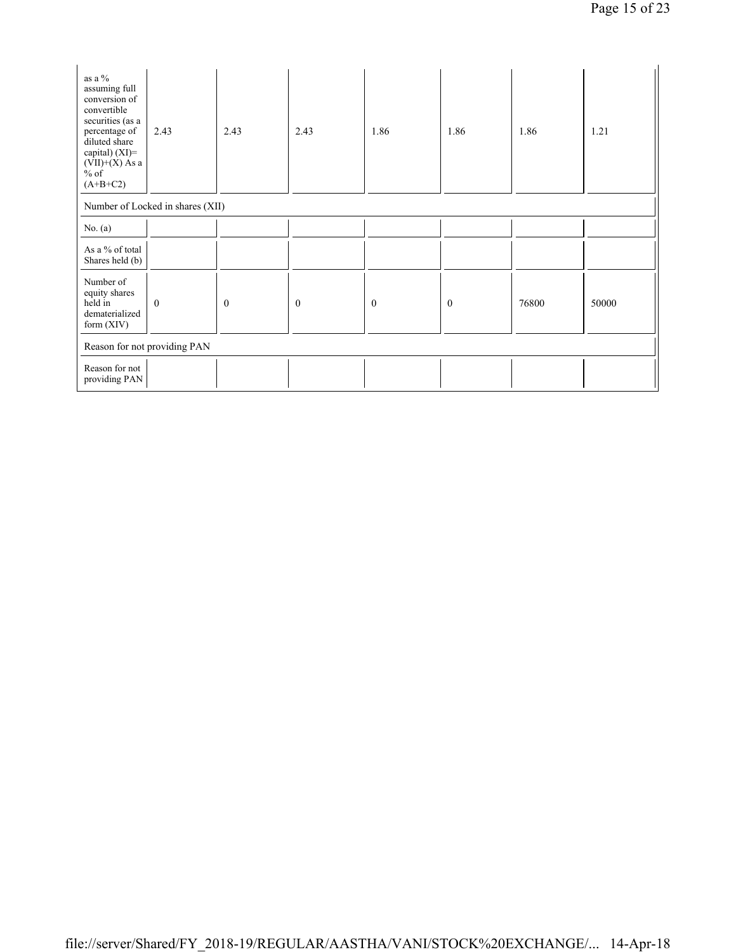| as a $\%$<br>assuming full<br>conversion of<br>convertible<br>securities (as a<br>percentage of<br>diluted share<br>capital) (XI)=<br>$(VII)+(X)$ As a<br>$\frac{6}{6}$ of<br>$(A+B+C2)$ | 2.43                             | 2.43             | 2.43             | 1.86             | 1.86         | 1.86  | 1.21  |
|------------------------------------------------------------------------------------------------------------------------------------------------------------------------------------------|----------------------------------|------------------|------------------|------------------|--------------|-------|-------|
|                                                                                                                                                                                          | Number of Locked in shares (XII) |                  |                  |                  |              |       |       |
| No. $(a)$                                                                                                                                                                                |                                  |                  |                  |                  |              |       |       |
| As a % of total<br>Shares held (b)                                                                                                                                                       |                                  |                  |                  |                  |              |       |       |
| Number of<br>equity shares<br>held in<br>dematerialized<br>form $(XIV)$                                                                                                                  | $\boldsymbol{0}$                 | $\boldsymbol{0}$ | $\boldsymbol{0}$ | $\boldsymbol{0}$ | $\mathbf{0}$ | 76800 | 50000 |
|                                                                                                                                                                                          | Reason for not providing PAN     |                  |                  |                  |              |       |       |
| Reason for not<br>providing PAN                                                                                                                                                          |                                  |                  |                  |                  |              |       |       |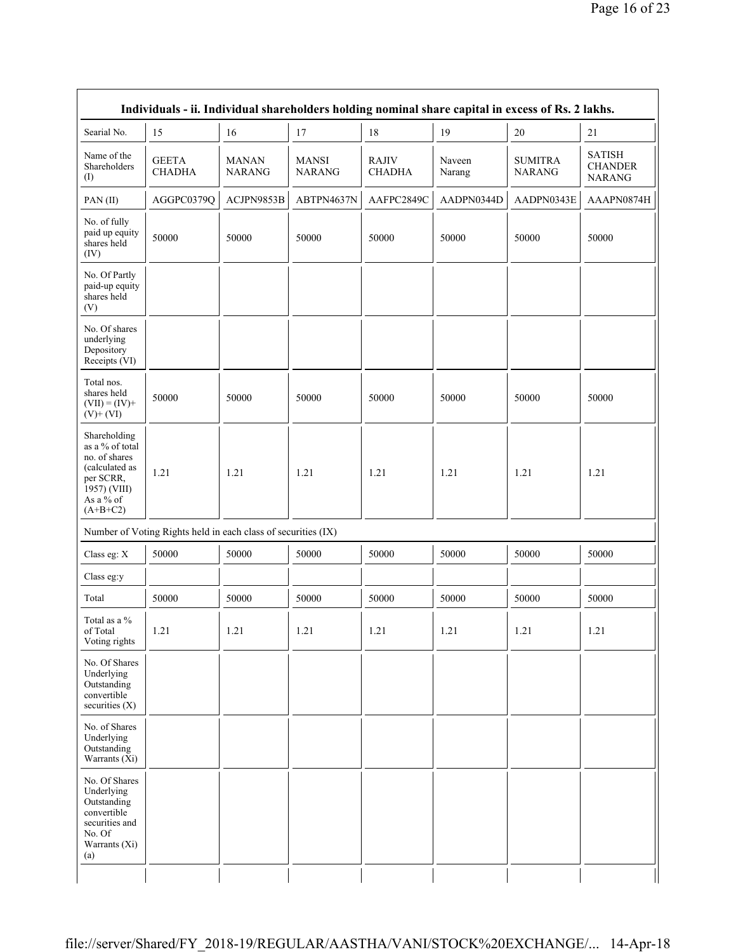|                                                                                                                            | Individuals - ii. Individual shareholders holding nominal share capital in excess of Rs. 2 lakhs. |                               |                        |                        |                  |                                 |                                                  |
|----------------------------------------------------------------------------------------------------------------------------|---------------------------------------------------------------------------------------------------|-------------------------------|------------------------|------------------------|------------------|---------------------------------|--------------------------------------------------|
| Searial No.                                                                                                                | 15                                                                                                | 16                            | 17                     | 18                     | 19               | $20\,$                          | 21                                               |
| Name of the<br>Shareholders<br>(1)                                                                                         | <b>GEETA</b><br><b>CHADHA</b>                                                                     | <b>MANAN</b><br><b>NARANG</b> | MANSI<br><b>NARANG</b> | RAJIV<br><b>CHADHA</b> | Naveen<br>Narang | <b>SUMITRA</b><br><b>NARANG</b> | <b>SATISH</b><br><b>CHANDER</b><br><b>NARANG</b> |
| PAN(II)                                                                                                                    | AGGPC0379Q                                                                                        | ACJPN9853B                    | ABTPN4637N             | AAFPC2849C             | AADPN0344D       | AADPN0343E                      | AAAPN0874H                                       |
| No. of fully<br>paid up equity<br>shares held<br>(IV)                                                                      | 50000                                                                                             | 50000                         | 50000                  | 50000                  | 50000            | 50000                           | 50000                                            |
| No. Of Partly<br>paid-up equity<br>shares held<br>(V)                                                                      |                                                                                                   |                               |                        |                        |                  |                                 |                                                  |
| No. Of shares<br>underlying<br>Depository<br>Receipts (VI)                                                                 |                                                                                                   |                               |                        |                        |                  |                                 |                                                  |
| Total nos.<br>shares held<br>$(VII) = (IV) +$<br>$(V)$ + $(VI)$                                                            | 50000                                                                                             | 50000                         | 50000                  | 50000                  | 50000            | 50000                           | 50000                                            |
| Shareholding<br>as a % of total<br>no. of shares<br>(calculated as<br>per SCRR,<br>1957) (VIII)<br>As a % of<br>$(A+B+C2)$ | 1.21                                                                                              | 1.21                          | 1.21                   | 1.21                   | 1.21             | 1.21                            | 1.21                                             |
|                                                                                                                            | Number of Voting Rights held in each class of securities (IX)                                     |                               |                        |                        |                  |                                 |                                                  |
| Class eg: X                                                                                                                | 50000                                                                                             | 50000                         | 50000                  | 50000                  | 50000            | 50000                           | 50000                                            |
| Class eg:y                                                                                                                 |                                                                                                   |                               |                        |                        |                  |                                 |                                                  |
| Total                                                                                                                      | 50000                                                                                             | 50000                         | 50000                  | 50000                  | 50000            | 50000                           | 50000                                            |
| Total as a %<br>of Total<br>Voting rights                                                                                  | 1.21                                                                                              | 1.21                          | 1.21                   | 1.21                   | 1.21             | 1.21                            | 1.21                                             |
| No. Of Shares<br>Underlying<br>Outstanding<br>convertible<br>securities (X)                                                |                                                                                                   |                               |                        |                        |                  |                                 |                                                  |
| No. of Shares<br>Underlying<br>Outstanding<br>Warrants (Xi)                                                                |                                                                                                   |                               |                        |                        |                  |                                 |                                                  |
| No. Of Shares<br>Underlying<br>Outstanding<br>convertible<br>securities and<br>No. Of<br>Warrants (Xi)<br>(a)              |                                                                                                   |                               |                        |                        |                  |                                 |                                                  |
|                                                                                                                            |                                                                                                   |                               |                        |                        |                  |                                 |                                                  |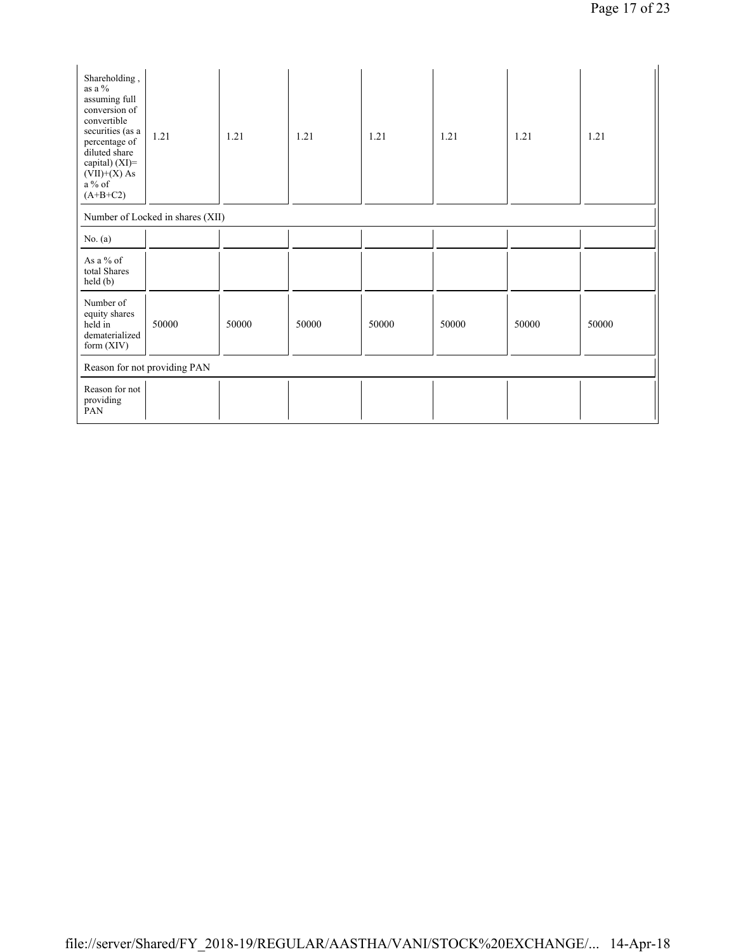| Shareholding,<br>as a %<br>assuming full<br>conversion of<br>convertible<br>securities (as a<br>percentage of<br>diluted share<br>capital) (XI)=<br>$(VII)+(X)$ As<br>a % of<br>$(A+B+C2)$ | 1.21                             | 1.21  | 1.21  | 1.21  | 1.21  | 1.21  | 1.21  |
|--------------------------------------------------------------------------------------------------------------------------------------------------------------------------------------------|----------------------------------|-------|-------|-------|-------|-------|-------|
|                                                                                                                                                                                            | Number of Locked in shares (XII) |       |       |       |       |       |       |
| No. $(a)$                                                                                                                                                                                  |                                  |       |       |       |       |       |       |
| As a % of<br>total Shares<br>held(b)                                                                                                                                                       |                                  |       |       |       |       |       |       |
| Number of<br>equity shares<br>held in<br>dematerialized<br>form $(XIV)$                                                                                                                    | 50000                            | 50000 | 50000 | 50000 | 50000 | 50000 | 50000 |
|                                                                                                                                                                                            | Reason for not providing PAN     |       |       |       |       |       |       |
| Reason for not<br>providing<br>PAN                                                                                                                                                         |                                  |       |       |       |       |       |       |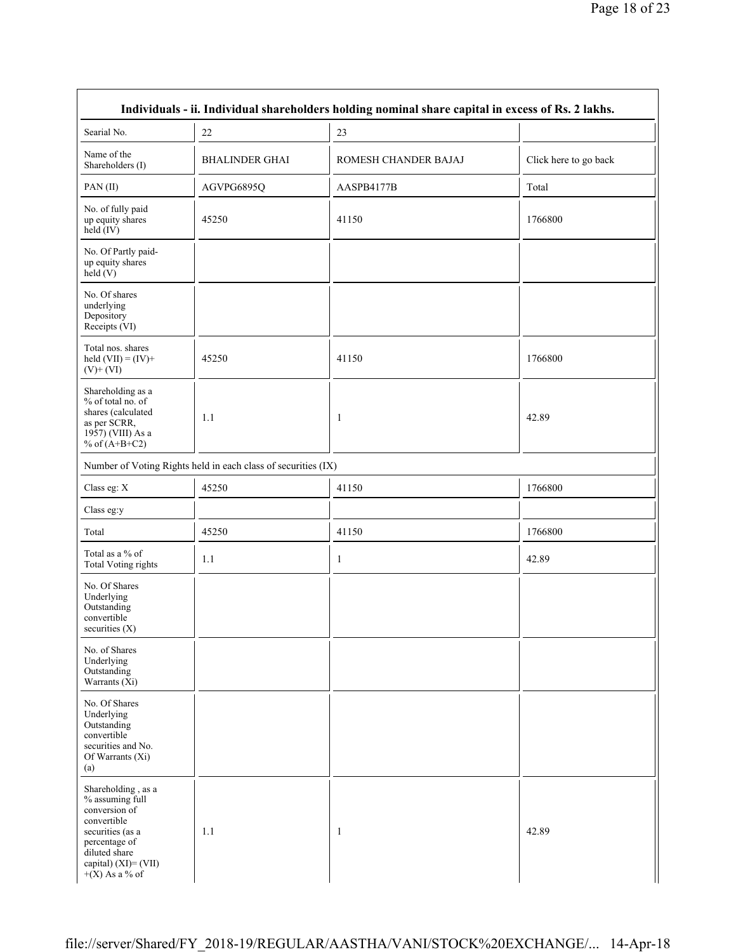| Individuals - ii. Individual shareholders holding nominal share capital in excess of Rs. 2 lakhs.                                                                       |                                                               |                      |                       |  |  |
|-------------------------------------------------------------------------------------------------------------------------------------------------------------------------|---------------------------------------------------------------|----------------------|-----------------------|--|--|
| Searial No.                                                                                                                                                             | 22                                                            | 23                   |                       |  |  |
| Name of the<br>Shareholders (I)                                                                                                                                         | <b>BHALINDER GHAI</b>                                         | ROMESH CHANDER BAJAJ | Click here to go back |  |  |
| PAN(II)                                                                                                                                                                 | AGVPG6895Q                                                    | AASPB4177B           | Total                 |  |  |
| No. of fully paid<br>up equity shares<br>$held$ (IV)                                                                                                                    | 45250                                                         | 41150                | 1766800               |  |  |
| No. Of Partly paid-<br>up equity shares<br>held (V)                                                                                                                     |                                                               |                      |                       |  |  |
| No. Of shares<br>underlying<br>Depository<br>Receipts (VI)                                                                                                              |                                                               |                      |                       |  |  |
| Total nos. shares<br>held $(VII) = (IV) +$<br>$(V)+(VI)$                                                                                                                | 45250                                                         | 41150                | 1766800               |  |  |
| Shareholding as a<br>% of total no. of<br>shares (calculated<br>as per SCRR,<br>1957) (VIII) As a<br>% of $(A+B+C2)$                                                    | 1.1                                                           | 1                    | 42.89                 |  |  |
|                                                                                                                                                                         | Number of Voting Rights held in each class of securities (IX) |                      |                       |  |  |
| Class eg: X                                                                                                                                                             | 45250                                                         | 41150                | 1766800               |  |  |
| Class eg:y                                                                                                                                                              |                                                               |                      |                       |  |  |
| Total                                                                                                                                                                   | 45250                                                         | 41150                | 1766800               |  |  |
| Total as a % of<br><b>Total Voting rights</b>                                                                                                                           | 1.1                                                           | 1                    | 42.89                 |  |  |
| No. Of Shares<br>Underlying<br>Outstanding<br>convertible<br>securities $(X)$                                                                                           |                                                               |                      |                       |  |  |
| No. of Shares<br>Underlying<br>Outstanding<br>Warrants $(X_i)$                                                                                                          |                                                               |                      |                       |  |  |
| No. Of Shares<br>Underlying<br>Outstanding<br>convertible<br>securities and No.<br>Of Warrants (Xi)<br>(a)                                                              |                                                               |                      |                       |  |  |
| Shareholding, as a<br>% assuming full<br>conversion of<br>convertible<br>securities (as a<br>percentage of<br>diluted share<br>capital) (XI)= (VII)<br>$+(X)$ As a % of | 1.1                                                           | 1                    | 42.89                 |  |  |

r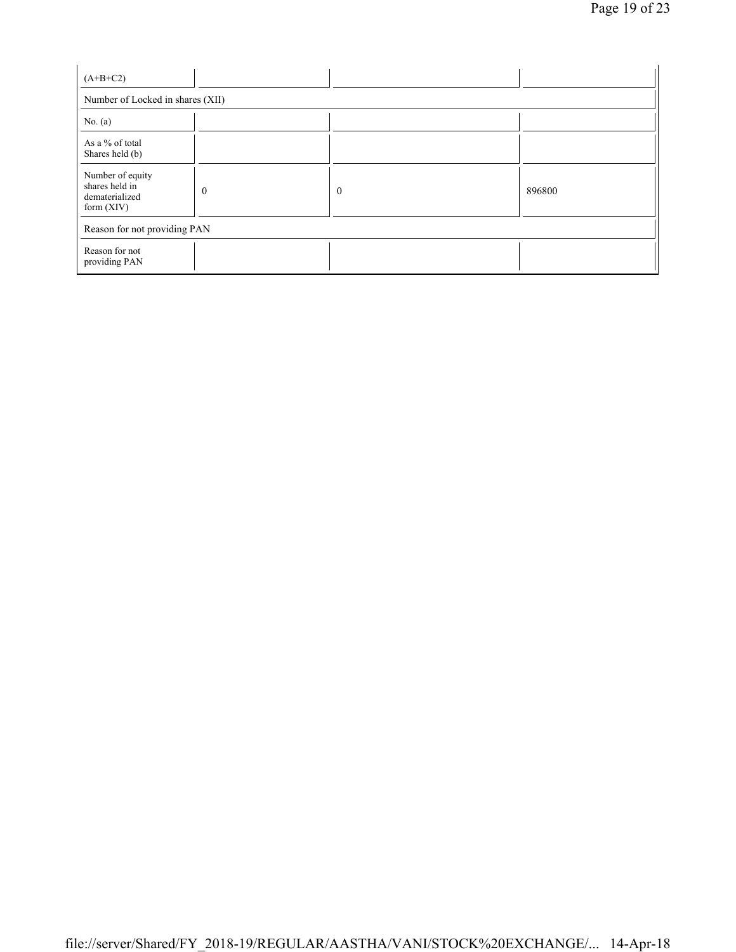| $(A+B+C2)$                                                           |          |              |        |  |  |  |
|----------------------------------------------------------------------|----------|--------------|--------|--|--|--|
| Number of Locked in shares (XII)                                     |          |              |        |  |  |  |
| No. $(a)$                                                            |          |              |        |  |  |  |
| As a % of total<br>Shares held (b)                                   |          |              |        |  |  |  |
| Number of equity<br>shares held in<br>dematerialized<br>form $(XIV)$ | $\theta$ | $\mathbf{0}$ | 896800 |  |  |  |
| Reason for not providing PAN                                         |          |              |        |  |  |  |
| Reason for not<br>providing PAN                                      |          |              |        |  |  |  |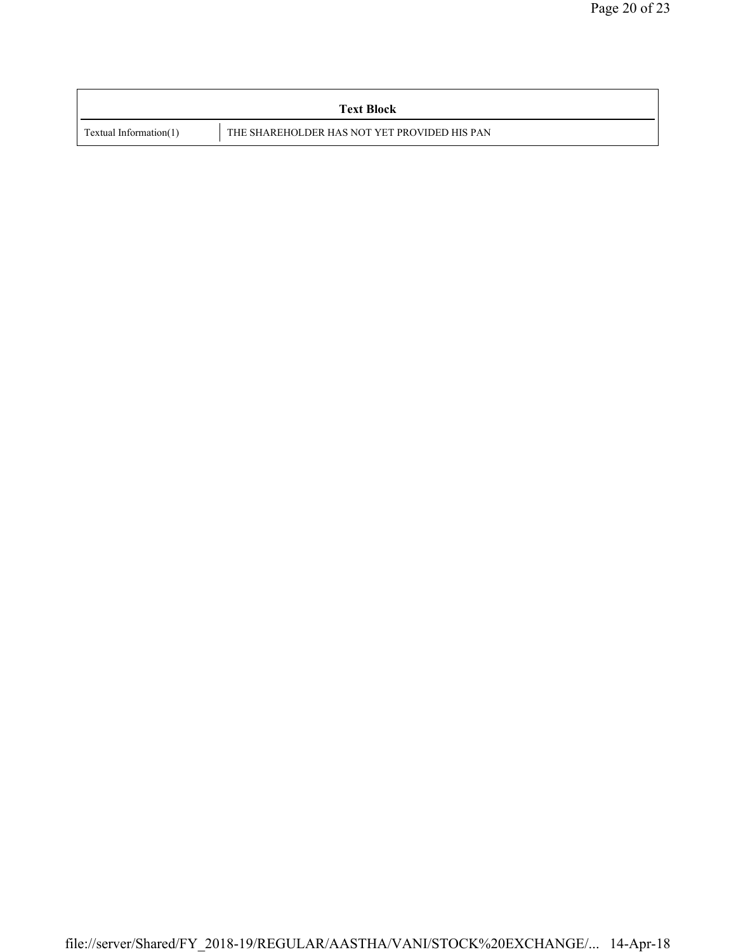|                        | <b>Text Block</b>                            |
|------------------------|----------------------------------------------|
| Textual Information(1) | THE SHAREHOLDER HAS NOT YET PROVIDED HIS PAN |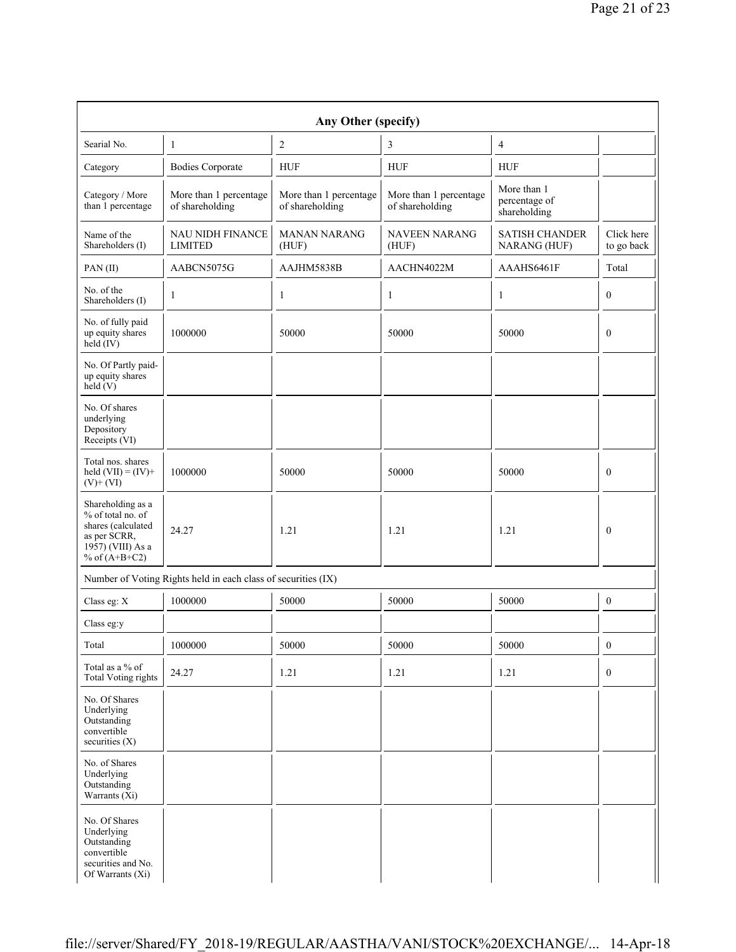| Any Other (specify)                                                                                                  |                                                               |                                           |                                           |                                              |                          |  |  |
|----------------------------------------------------------------------------------------------------------------------|---------------------------------------------------------------|-------------------------------------------|-------------------------------------------|----------------------------------------------|--------------------------|--|--|
| Searial No.                                                                                                          | 1                                                             | 2                                         | 3                                         | 4                                            |                          |  |  |
| Category                                                                                                             | <b>Bodies Corporate</b>                                       | <b>HUF</b>                                | <b>HUF</b>                                | <b>HUF</b>                                   |                          |  |  |
| Category / More<br>than 1 percentage                                                                                 | More than 1 percentage<br>of shareholding                     | More than 1 percentage<br>of shareholding | More than 1 percentage<br>of shareholding | More than 1<br>percentage of<br>shareholding |                          |  |  |
| Name of the<br>Shareholders (I)                                                                                      | <b>NAU NIDH FINANCE</b><br><b>LIMITED</b>                     | <b>MANAN NARANG</b><br>(HUF)              | <b>NAVEEN NARANG</b><br>(HUF)             | <b>SATISH CHANDER</b><br>NARANG (HUF)        | Click here<br>to go back |  |  |
| PAN(II)                                                                                                              | AABCN5075G                                                    | AAJHM5838B                                | AACHN4022M                                | AAAHS6461F                                   | Total                    |  |  |
| No. of the<br>Shareholders (I)                                                                                       | 1                                                             | 1                                         | 1                                         | 1                                            | $\mathbf{0}$             |  |  |
| No. of fully paid<br>up equity shares<br>held (IV)                                                                   | 1000000                                                       | 50000                                     | 50000                                     | 50000                                        | $\boldsymbol{0}$         |  |  |
| No. Of Partly paid-<br>up equity shares<br>held(V)                                                                   |                                                               |                                           |                                           |                                              |                          |  |  |
| No. Of shares<br>underlying<br>Depository<br>Receipts (VI)                                                           |                                                               |                                           |                                           |                                              |                          |  |  |
| Total nos. shares<br>held $(VII) = (IV) +$<br>$(V)$ + $(VI)$                                                         | 1000000                                                       | 50000                                     | 50000                                     | 50000                                        | $\boldsymbol{0}$         |  |  |
| Shareholding as a<br>% of total no. of<br>shares (calculated<br>as per SCRR,<br>1957) (VIII) As a<br>% of $(A+B+C2)$ | 24.27                                                         | 1.21                                      | 1.21                                      | 1.21                                         | $\theta$                 |  |  |
|                                                                                                                      | Number of Voting Rights held in each class of securities (IX) |                                           |                                           |                                              |                          |  |  |
| Class eg: X                                                                                                          | 1000000                                                       | 50000                                     | 50000                                     | 50000                                        | $\boldsymbol{0}$         |  |  |
| Class eg:y                                                                                                           |                                                               |                                           |                                           |                                              |                          |  |  |
| Total                                                                                                                | 1000000                                                       | 50000                                     | 50000                                     | 50000                                        | $\boldsymbol{0}$         |  |  |
| Total as a % of<br><b>Total Voting rights</b>                                                                        | 24.27                                                         | 1.21                                      | 1.21                                      | 1.21                                         | $\mathbf{0}$             |  |  |
| No. Of Shares<br>Underlying<br>Outstanding<br>convertible<br>securities (X)                                          |                                                               |                                           |                                           |                                              |                          |  |  |
| No. of Shares<br>Underlying<br>Outstanding<br>Warrants (Xi)                                                          |                                                               |                                           |                                           |                                              |                          |  |  |
| No. Of Shares<br>Underlying<br>Outstanding<br>convertible<br>securities and No.<br>Of Warrants (Xi)                  |                                                               |                                           |                                           |                                              |                          |  |  |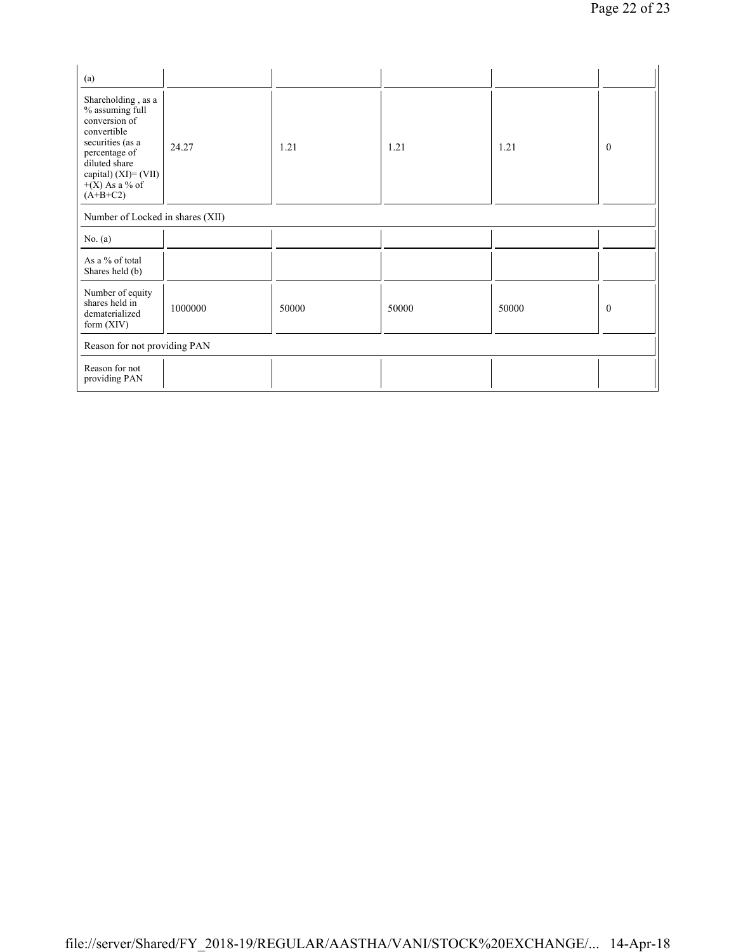| (a)                                                                                                                                                                                      |                                  |       |       |       |              |  |  |
|------------------------------------------------------------------------------------------------------------------------------------------------------------------------------------------|----------------------------------|-------|-------|-------|--------------|--|--|
| Shareholding, as a<br>% assuming full<br>conversion of<br>convertible<br>securities (as a<br>percentage of<br>diluted share<br>capital) $(XI) = (VII)$<br>$+(X)$ As a % of<br>$(A+B+C2)$ | 24.27                            | 1.21  | 1.21  | 1.21  | $\mathbf{0}$ |  |  |
|                                                                                                                                                                                          | Number of Locked in shares (XII) |       |       |       |              |  |  |
| No. $(a)$                                                                                                                                                                                |                                  |       |       |       |              |  |  |
| As a % of total<br>Shares held (b)                                                                                                                                                       |                                  |       |       |       |              |  |  |
| Number of equity<br>shares held in<br>dematerialized<br>form (XIV)                                                                                                                       | 1000000                          | 50000 | 50000 | 50000 | $\mathbf{0}$ |  |  |
| Reason for not providing PAN                                                                                                                                                             |                                  |       |       |       |              |  |  |
| Reason for not<br>providing PAN                                                                                                                                                          |                                  |       |       |       |              |  |  |